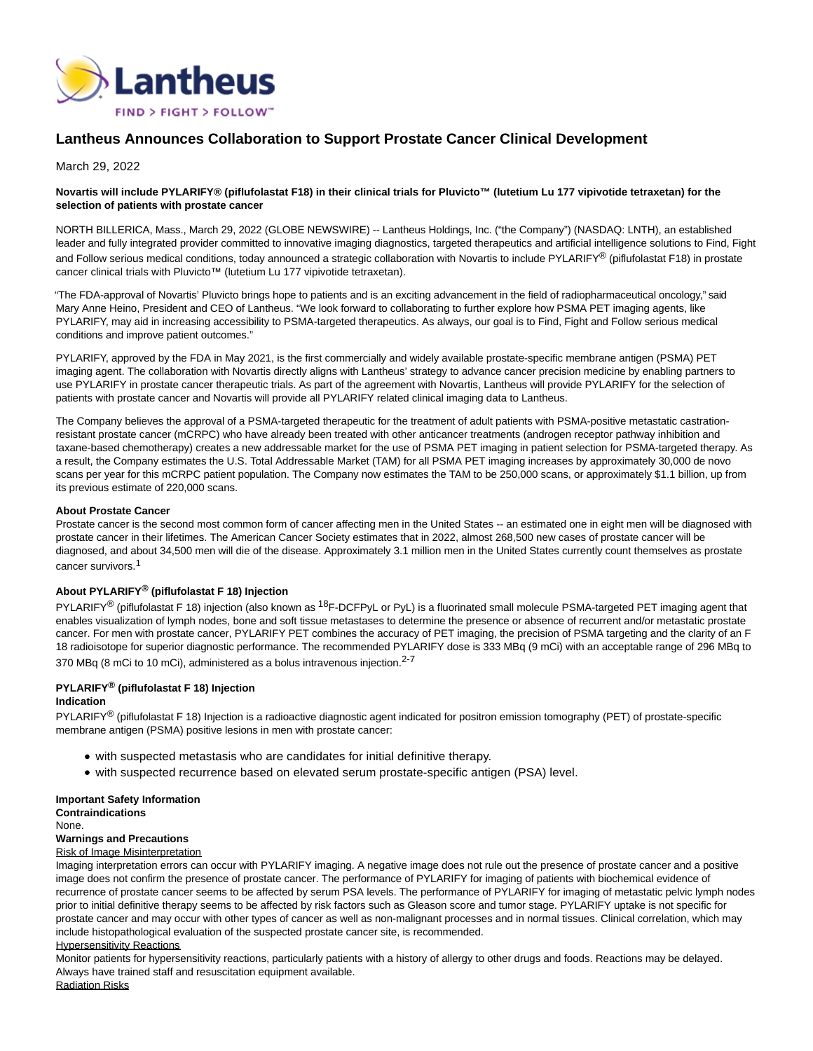

# **Lantheus Announces Collaboration to Support Prostate Cancer Clinical Development**

March 29, 2022

# **Novartis will include PYLARIFY® (piflufolastat F18) in their clinical trials for Pluvicto™ (lutetium Lu 177 vipivotide tetraxetan) for the selection of patients with prostate cancer**

NORTH BILLERICA, Mass., March 29, 2022 (GLOBE NEWSWIRE) -- Lantheus Holdings, Inc. ("the Company") (NASDAQ: LNTH), an established leader and fully integrated provider committed to innovative imaging diagnostics, targeted therapeutics and artificial intelligence solutions to Find, Fight and Follow serious medical conditions, today announced a strategic collaboration with Novartis to include PYLARIFY® (piflufolastat F18) in prostate cancer clinical trials with Pluvicto™ (lutetium Lu 177 vipivotide tetraxetan).

"The FDA-approval of Novartis' Pluvicto brings hope to patients and is an exciting advancement in the field of radiopharmaceutical oncology," said Mary Anne Heino, President and CEO of Lantheus. "We look forward to collaborating to further explore how PSMA PET imaging agents, like PYLARIFY, may aid in increasing accessibility to PSMA-targeted therapeutics. As always, our goal is to Find, Fight and Follow serious medical conditions and improve patient outcomes."

PYLARIFY, approved by the FDA in May 2021, is the first commercially and widely available prostate-specific membrane antigen (PSMA) PET imaging agent. The collaboration with Novartis directly aligns with Lantheus' strategy to advance cancer precision medicine by enabling partners to use PYLARIFY in prostate cancer therapeutic trials. As part of the agreement with Novartis, Lantheus will provide PYLARIFY for the selection of patients with prostate cancer and Novartis will provide all PYLARIFY related clinical imaging data to Lantheus.

The Company believes the approval of a PSMA-targeted therapeutic for the treatment of adult patients with PSMA-positive metastatic castrationresistant prostate cancer (mCRPC) who have already been treated with other anticancer treatments (androgen receptor pathway inhibition and taxane-based chemotherapy) creates a new addressable market for the use of PSMA PET imaging in patient selection for PSMA-targeted therapy. As a result, the Company estimates the U.S. Total Addressable Market (TAM) for all PSMA PET imaging increases by approximately 30,000 de novo scans per year for this mCRPC patient population. The Company now estimates the TAM to be 250,000 scans, or approximately \$1.1 billion, up from its previous estimate of 220,000 scans.

#### **About Prostate Cancer**

Prostate cancer is the second most common form of cancer affecting men in the United States -- an estimated one in eight men will be diagnosed with prostate cancer in their lifetimes. The American Cancer Society estimates that in 2022, almost 268,500 new cases of prostate cancer will be diagnosed, and about 34,500 men will die of the disease. Approximately 3.1 million men in the United States currently count themselves as prostate cancer survivors.<sup>1</sup>

# **About PYLARIFY® (piflufolastat F 18) Injection**

PYLARIFY<sup>®</sup> (piflufolastat F 18) injection (also known as <sup>18</sup>F-DCFPyL or PyL) is a fluorinated small molecule PSMA-targeted PET imaging agent that enables visualization of lymph nodes, bone and soft tissue metastases to determine the presence or absence of recurrent and/or metastatic prostate cancer. For men with prostate cancer, PYLARIFY PET combines the accuracy of PET imaging, the precision of PSMA targeting and the clarity of an F 18 radioisotope for superior diagnostic performance. The recommended PYLARIFY dose is 333 MBq (9 mCi) with an acceptable range of 296 MBq to 370 MBq (8 mCi to 10 mCi), administered as a bolus intravenous injection.<sup>2-7</sup>

# **PYLARIFY® (piflufolastat F 18) Injection**

#### **Indication**

PYLARIFY<sup>®</sup> (piflufolastat F 18) Injection is a radioactive diagnostic agent indicated for positron emission tomography (PET) of prostate-specific membrane antigen (PSMA) positive lesions in men with prostate cancer:

- with suspected metastasis who are candidates for initial definitive therapy.
- with suspected recurrence based on elevated serum prostate-specific antigen (PSA) level.

#### **Important Safety Information**

**Contraindications** None.

# **Warnings and Precautions**

#### Risk of Image Misinterpretation

Imaging interpretation errors can occur with PYLARIFY imaging. A negative image does not rule out the presence of prostate cancer and a positive image does not confirm the presence of prostate cancer. The performance of PYLARIFY for imaging of patients with biochemical evidence of recurrence of prostate cancer seems to be affected by serum PSA levels. The performance of PYLARIFY for imaging of metastatic pelvic lymph nodes prior to initial definitive therapy seems to be affected by risk factors such as Gleason score and tumor stage. PYLARIFY uptake is not specific for prostate cancer and may occur with other types of cancer as well as non-malignant processes and in normal tissues. Clinical correlation, which may include histopathological evaluation of the suspected prostate cancer site, is recommended.

#### Hypersensitivity Reactions

Monitor patients for hypersensitivity reactions, particularly patients with a history of allergy to other drugs and foods. Reactions may be delayed. Always have trained staff and resuscitation equipment available.

Radiation Risks